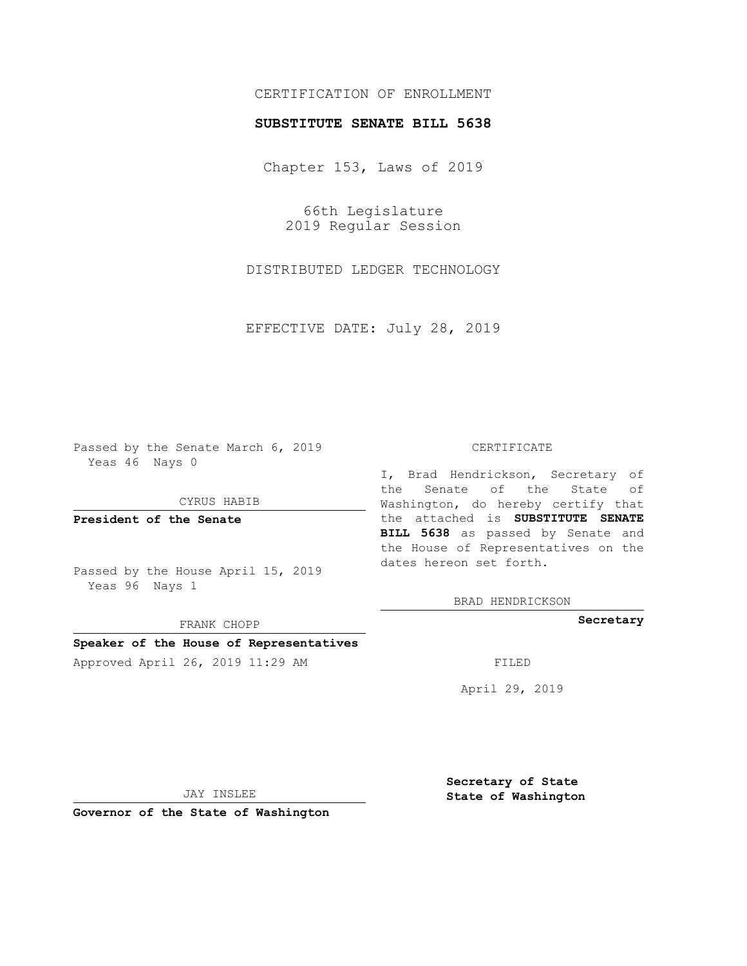# CERTIFICATION OF ENROLLMENT

### **SUBSTITUTE SENATE BILL 5638**

Chapter 153, Laws of 2019

66th Legislature 2019 Regular Session

DISTRIBUTED LEDGER TECHNOLOGY

EFFECTIVE DATE: July 28, 2019

Passed by the Senate March 6, 2019 Yeas 46 Nays 0

CYRUS HABIB

**President of the Senate**

Passed by the House April 15, 2019 Yeas 96 Nays 1

FRANK CHOPP

# **Speaker of the House of Representatives**

Approved April 26, 2019 11:29 AM FILED

#### CERTIFICATE

I, Brad Hendrickson, Secretary of the Senate of the State of Washington, do hereby certify that the attached is **SUBSTITUTE SENATE BILL 5638** as passed by Senate and the House of Representatives on the dates hereon set forth.

BRAD HENDRICKSON

**Secretary**

April 29, 2019

JAY INSLEE

**Governor of the State of Washington**

**Secretary of State State of Washington**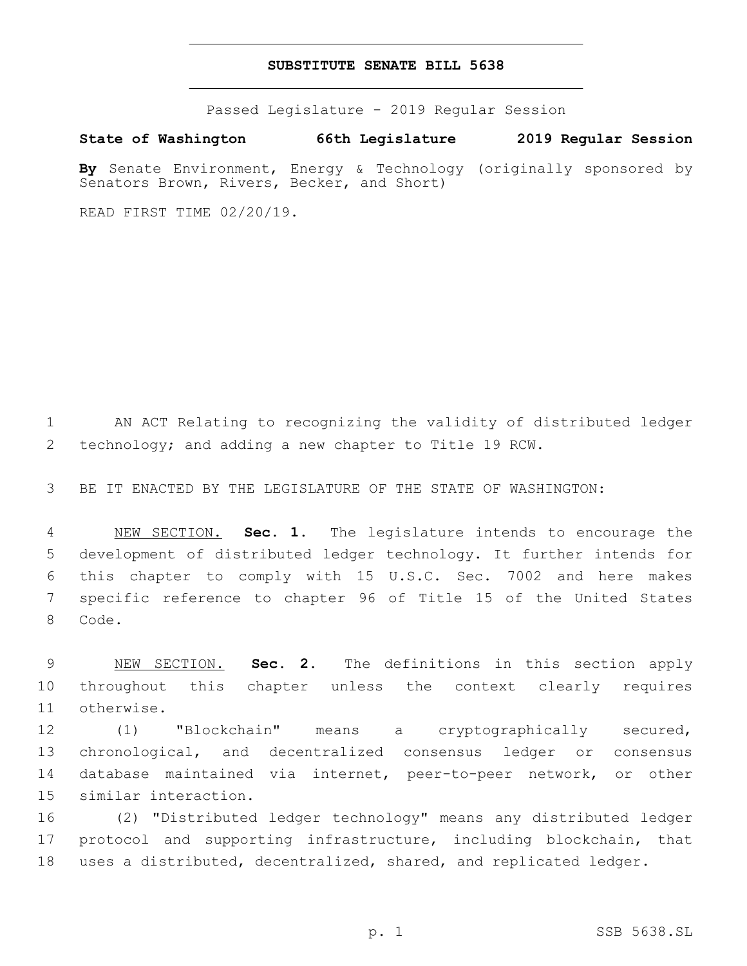#### **SUBSTITUTE SENATE BILL 5638**

Passed Legislature - 2019 Regular Session

**State of Washington 66th Legislature 2019 Regular Session**

**By** Senate Environment, Energy & Technology (originally sponsored by Senators Brown, Rivers, Becker, and Short)

READ FIRST TIME 02/20/19.

 AN ACT Relating to recognizing the validity of distributed ledger technology; and adding a new chapter to Title 19 RCW.

BE IT ENACTED BY THE LEGISLATURE OF THE STATE OF WASHINGTON:

 NEW SECTION. **Sec. 1.** The legislature intends to encourage the development of distributed ledger technology. It further intends for this chapter to comply with 15 U.S.C. Sec. 7002 and here makes specific reference to chapter 96 of Title 15 of the United States Code.

 NEW SECTION. **Sec. 2.** The definitions in this section apply throughout this chapter unless the context clearly requires otherwise.

 (1) "Blockchain" means a cryptographically secured, chronological, and decentralized consensus ledger or consensus database maintained via internet, peer-to-peer network, or other 15 similar interaction.

 (2) "Distributed ledger technology" means any distributed ledger protocol and supporting infrastructure, including blockchain, that 18 uses a distributed, decentralized, shared, and replicated ledger.